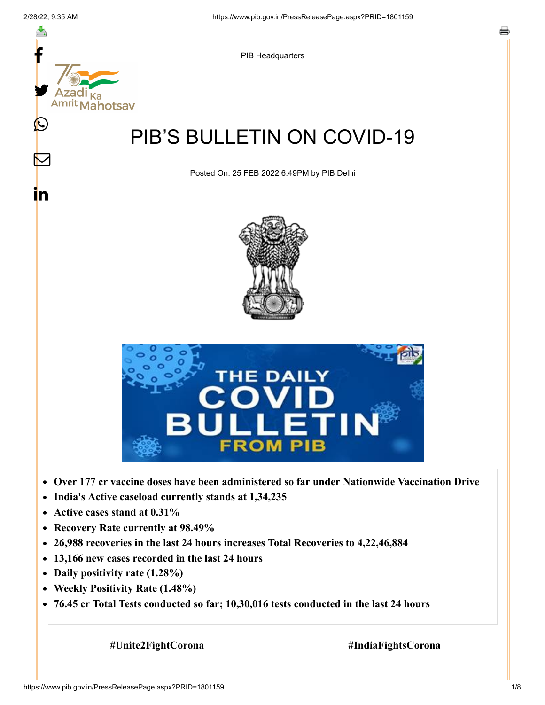

- **Recovery Rate currently at 98.49%**  $\bullet$
- **26,988 recoveries in the last 24 hours increases Total Recoveries to 4,22,46,884**  $\bullet$
- **13,166 new cases recorded in the last 24 hours**  $\bullet$
- **Daily positivity rate (1.28%)**
- **Weekly Positivity Rate (1.48%)**  $\bullet$
- **76.45 cr Total Tests conducted so far; 10,30,016 tests conducted in the last 24 hours**  $\bullet$

 **#Unite2FightCorona #IndiaFightsCorona**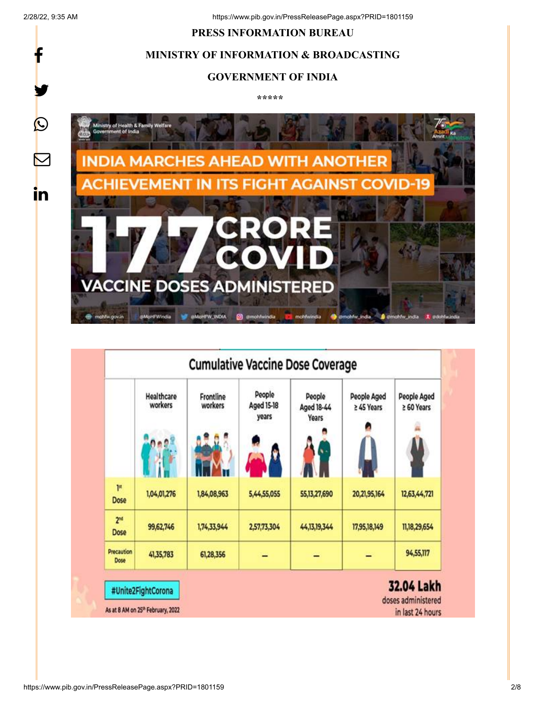f

y.

 $\bigcirc$ 

 $\color{red} \nabla$ 

in

#### **PRESS INFORMATION BUREAU**



## **GOVERNMENT OF INDIA**

**\*\*\*\*\*** 



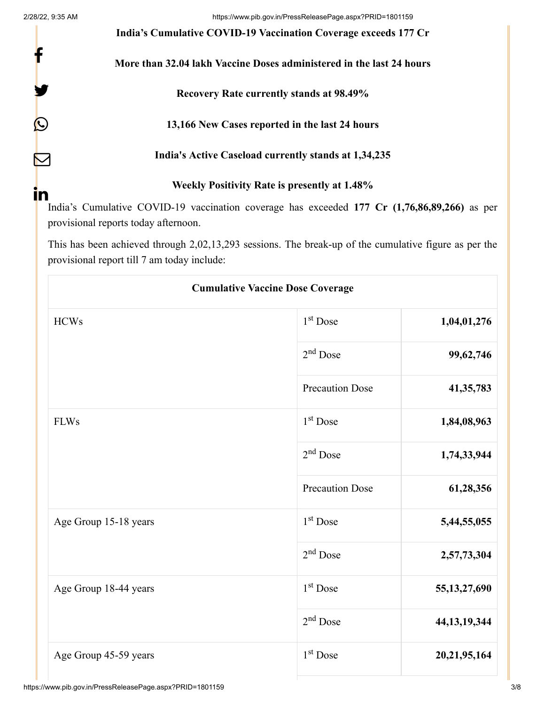f

Y

0

 $\triangledown$ 

2/28/22, 9:35 AM https://www.pib.gov.in/PressReleasePage.aspx?PRID=1801159

**India's Cumulative COVID-19 Vaccination Coverage exceeds 177 Cr**

**More than 32.04 lakh Vaccine Doses administered in the last 24 hours**

**Recovery Rate currently stands at 98.49%**

**13,166 New Cases reported in the last 24 hours**

**India's Active Caseload currently stands at 1,34,235**

**Weekly Positivity Rate is presently at 1.48%**

India's Cumulative COVID-19 vaccination coverage has exceeded **177 Cr (1,76,86,89,266)** as per provisional reports today afternoon. **in** 

This has been achieved through 2,02,13,293 sessions. The break-up of the cumulative figure as per the provisional report till 7 am today include:

| <b>Cumulative Vaccine Dose Coverage</b> |                        |                 |  |
|-----------------------------------------|------------------------|-----------------|--|
| <b>HCWs</b>                             | 1 <sup>st</sup> Dose   | 1,04,01,276     |  |
|                                         | $2nd$ Dose             | 99,62,746       |  |
|                                         | <b>Precaution Dose</b> | 41, 35, 783     |  |
| <b>FLWs</b>                             | $1st$ Dose             | 1,84,08,963     |  |
|                                         | $2nd$ Dose             | 1,74,33,944     |  |
|                                         | <b>Precaution Dose</b> | 61,28,356       |  |
| Age Group 15-18 years                   | 1 <sup>st</sup> Dose   | 5,44,55,055     |  |
|                                         | $2nd$ Dose             | 2,57,73,304     |  |
| Age Group 18-44 years                   | 1 <sup>st</sup> Dose   | 55, 13, 27, 690 |  |
|                                         | $2nd$ Dose             | 44, 13, 19, 344 |  |
| Age Group 45-59 years                   | 1 <sup>st</sup> Dose   | 20, 21, 95, 164 |  |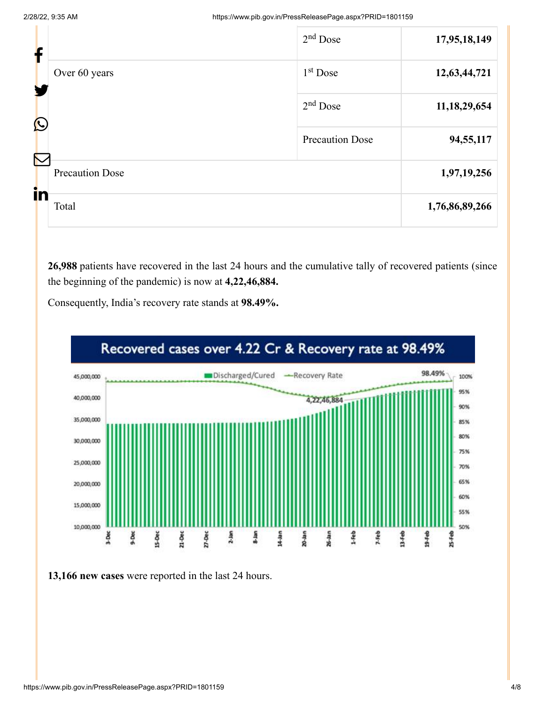2/28/22, 9:35 AM https://www.pib.gov.in/PressReleasePage.aspx?PRID=1801159

| Ť                     |                        | $2nd$ Dose             | 17,95,18,149    |
|-----------------------|------------------------|------------------------|-----------------|
|                       | Over 60 years          | 1 <sup>st</sup> Dose   | 12,63,44,721    |
| $\mathbf{\Omega}$     |                        | $2nd$ Dose             | 11, 18, 29, 654 |
| $\boldsymbol{\nabla}$ |                        | <b>Precaution Dose</b> | 94,55,117       |
| in                    | <b>Precaution Dose</b> |                        | 1,97,19,256     |
|                       | Total                  |                        | 1,76,86,89,266  |

**26,988** patients have recovered in the last 24 hours and the cumulative tally of recovered patients (since the beginning of the pandemic) is now at **4,22,46,884.**



Consequently, India's recovery rate stands at **98.49%.**

**13,166 new cases** were reported in the last 24 hours.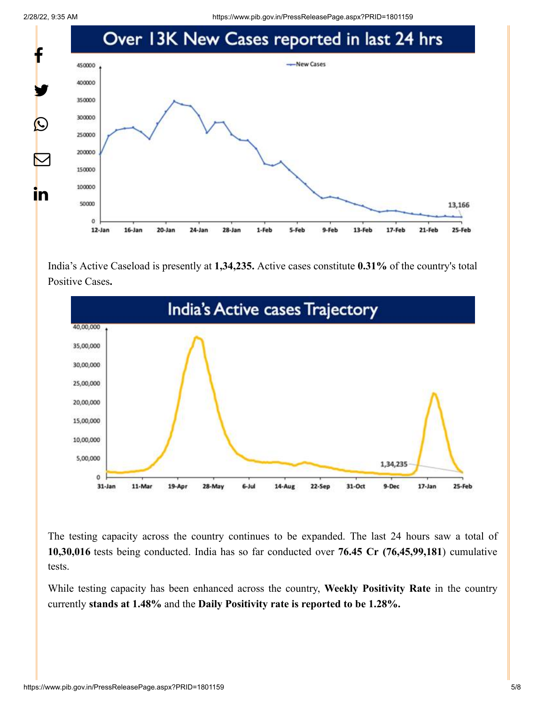2/28/22, 9:35 AM https://www.pib.gov.in/PressReleasePage.aspx?PRID=1801159



India's Active Caseload is presently at **1,34,235.** Active cases constitute **0.31%** of the country's total Positive Cases**.**



The testing capacity across the country continues to be expanded. The last 24 hours saw a total of **10,30,016** tests being conducted. India has so far conducted over **76.45 Cr (76,45,99,181**) cumulative tests.

While testing capacity has been enhanced across the country, **Weekly Positivity Rate** in the country currently **stands at 1.48%** and the **Daily Positivity rate is reported to be 1.28%.**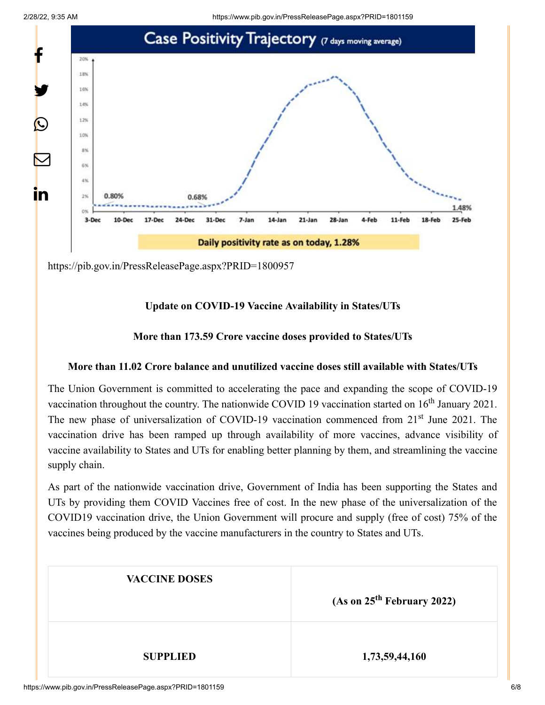2/28/22, 9:35 AM https://www.pib.gov.in/PressReleasePage.aspx?PRID=1801159



<https://pib.gov.in/PressReleasePage.aspx?PRID=1800957>

# **Update on COVID-19 Vaccine Availability in States/UTs**

# **More than 173.59 Crore vaccine doses provided to States/UTs**

## **More than 11.02 Crore balance and unutilized vaccine doses still available with States/UTs**

The Union Government is committed to accelerating the pace and expanding the scope of COVID-19 vaccination throughout the country. The nationwide COVID 19 vaccination started on  $16<sup>th</sup>$  January 2021. The new phase of universalization of COVID-19 vaccination commenced from 21<sup>st</sup> June 2021. The vaccination drive has been ramped up through availability of more vaccines, advance visibility of vaccine availability to States and UTs for enabling better planning by them, and streamlining the vaccine supply chain.

As part of the nationwide vaccination drive, Government of India has been supporting the States and UTs by providing them COVID Vaccines free of cost. In the new phase of the universalization of the COVID19 vaccination drive, the Union Government will procure and supply (free of cost) 75% of the vaccines being produced by the vaccine manufacturers in the country to States and UTs.

| <b>VACCINE DOSES</b> | (As on 25 <sup>th</sup> February 2022) |
|----------------------|----------------------------------------|
| <b>SUPPLIED</b>      | 1,73,59,44,160                         |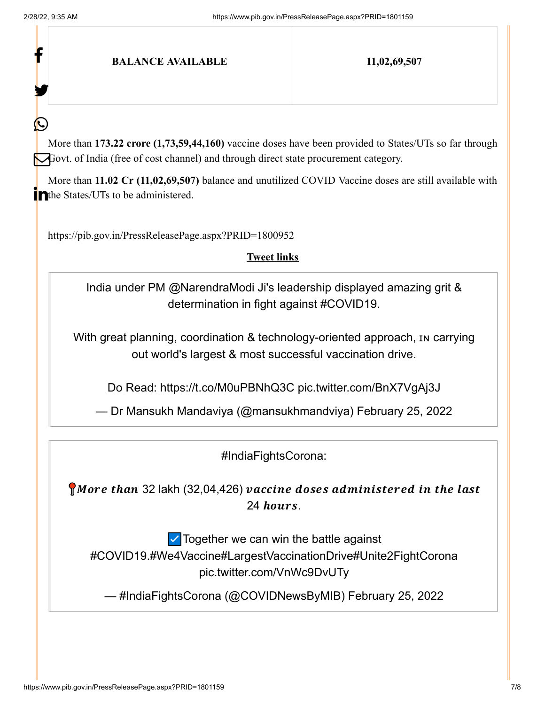f

У.

(L

### **BALANCE AVAILABLE 11,02,69,507**

More than **173.22 crore (1,73,59,44,160)** vaccine doses have been provided to States/UTs so far through Govt. of India (free of cost channel) and through direct state procurement category.

More than **11.02 Cr (11,02,69,507)** balance and unutilized COVID Vaccine doses are still available with The States/UTs to be administered.

<https://pib.gov.in/PressReleasePage.aspx?PRID=1800952>

#### **Tweet links**

India under PM [@NarendraModi](https://twitter.com/narendramodi?ref_src=twsrc%5Etfw) Ji's leadership displayed amazing grit & determination in fight against [#COVID19.](https://twitter.com/hashtag/COVID19?src=hash&ref_src=twsrc%5Etfw)

With great planning, coordination & technology-oriented approach, In carrying out world's largest & most successful vaccination drive.

Do Read: <https://t.co/M0uPBNhQ3C> [pic.twitter.com/BnX7VgAj3J](https://t.co/BnX7VgAj3J)

— Dr Mansukh Mandaviya (@mansukhmandviya) [February 25, 2022](https://twitter.com/mansukhmandviya/status/1497149694761668610?ref_src=twsrc%5Etfw)

[#IndiaFightsCorona:](https://twitter.com/hashtag/IndiaFightsCorona?src=hash&ref_src=twsrc%5Etfw)

 $\bigcap$  More than 32 lakh (32,04,426) vaccine doses administered in the last  $24$  hours.

 $\vee$  Together we can win the battle against [#COVID19](https://twitter.com/hashtag/COVID19?src=hash&ref_src=twsrc%5Etfw)[.#We4Vaccine](https://twitter.com/hashtag/We4Vaccine?src=hash&ref_src=twsrc%5Etfw)[#LargestVaccinationDrive](https://twitter.com/hashtag/LargestVaccinationDrive?src=hash&ref_src=twsrc%5Etfw)[#Unite2FightCorona](https://twitter.com/hashtag/Unite2FightCorona?src=hash&ref_src=twsrc%5Etfw) [pic.twitter.com/VnWc9DvUTy](https://t.co/VnWc9DvUTy)

— #IndiaFightsCorona (@COVIDNewsByMIB) [February 25, 2022](https://twitter.com/COVIDNewsByMIB/status/1497087035194044417?ref_src=twsrc%5Etfw)